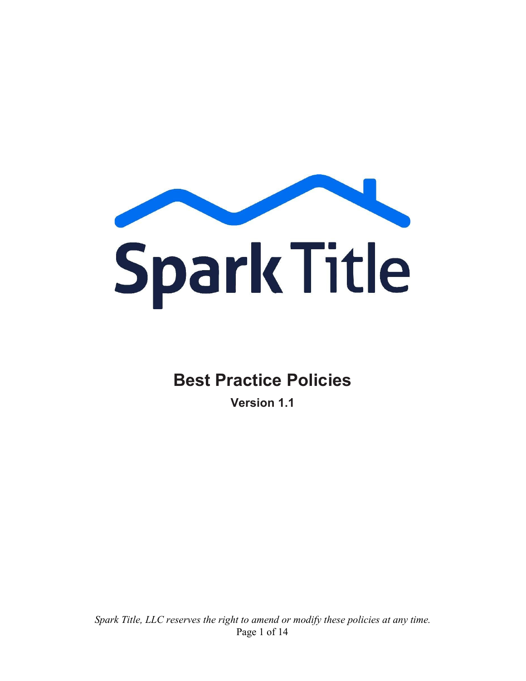

# **Best Practice Policies**

**Version 1.1**

*Spark Title, LLC reserves the right to amend or modify these policies at any time.* Page 1 of 14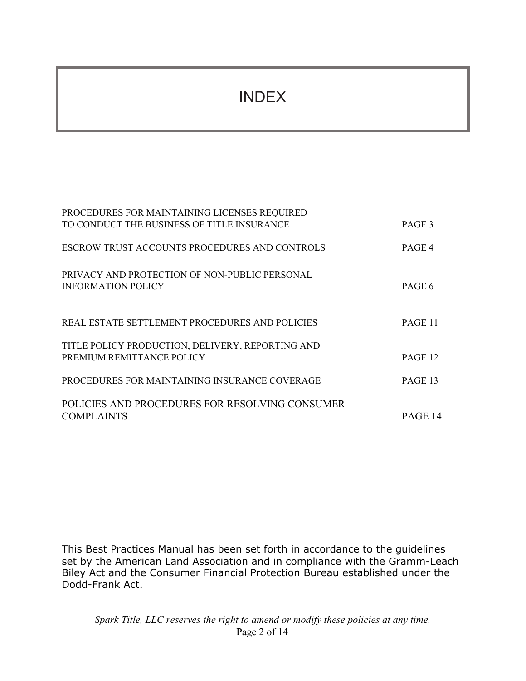# INDEX

| PROCEDURES FOR MAINTAINING LICENSES REQUIRED                                  |         |
|-------------------------------------------------------------------------------|---------|
| TO CONDUCT THE BUSINESS OF TITLE INSURANCE                                    | PAGE 3  |
| ESCROW TRUST ACCOUNTS PROCEDURES AND CONTROLS                                 | PAGE 4  |
| PRIVACY AND PROTECTION OF NON-PUBLIC PERSONAL<br><b>INFORMATION POLICY</b>    | PAGE 6  |
| REAL ESTATE SETTLEMENT PROCEDURES AND POLICIES                                | PAGE 11 |
| TITLE POLICY PRODUCTION, DELIVERY, REPORTING AND<br>PREMIUM REMITTANCE POLICY | PAGE 12 |
| PROCEDURES FOR MAINTAINING INSURANCE COVERAGE                                 | PAGE 13 |
| POLICIES AND PROCEDURES FOR RESOLVING CONSUMER<br><b>COMPLAINTS</b>           | PAGE 14 |

This Best Practices Manual has been set forth in accordance to the guidelines set by the American Land Association and in compliance with the Gramm-Leach Biley Act and the Consumer Financial Protection Bureau established under the Dodd-Frank Act.

*Spark Title, LLC reserves the right to amend or modify these policies at any time.* Page 2 of 14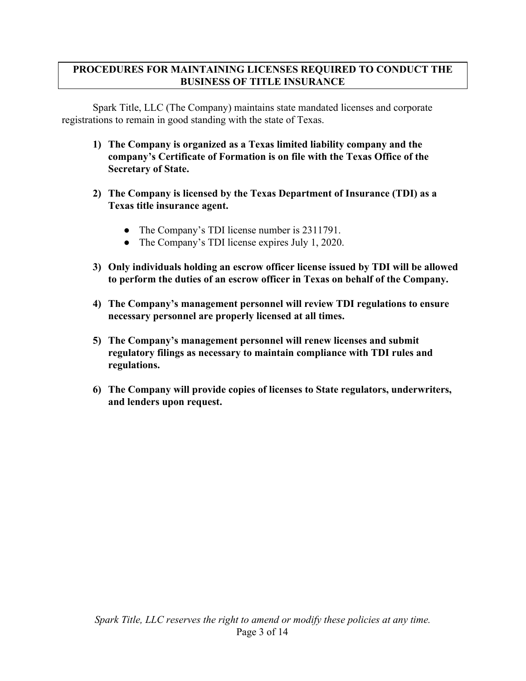#### **PROCEDURES FOR MAINTAINING LICENSES REQUIRED TO CONDUCT THE BUSINESS OF TITLE INSURANCE**

Spark Title, LLC (The Company) maintains state mandated licenses and corporate registrations to remain in good standing with the state of Texas.

- **1) The Company is organized as a Texas limited liability company and the company's Certificate of Formation is on file with the Texas Office of the Secretary of State.**
- **2) The Company is licensed by the Texas Department of Insurance (TDI) as a Texas title insurance agent.**
	- The Company's TDI license number is 2311791.
	- The Company's TDI license expires July 1, 2020.
- **3) Only individuals holding an escrow officer license issued by TDI will be allowed to perform the duties of an escrow officer in Texas on behalf of the Company.**
- **4) The Company's management personnel will review TDI regulations to ensure necessary personnel are properly licensed at all times.**
- **5) The Company's management personnel will renew licenses and submit regulatory filings as necessary to maintain compliance with TDI rules and regulations.**
- **6) The Company will provide copies of licenses to State regulators, underwriters, and lenders upon request.**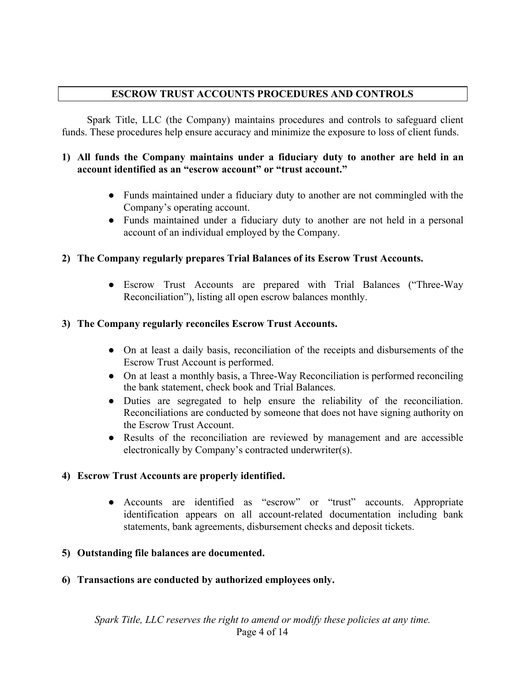### **ESCROW TRUST ACCOUNTS PROCEDURES AND CONTROLS**

Spark Title, LLC (the Company) maintains procedures and controls to safeguard client funds. These procedures help ensure accuracy and minimize the exposure to loss of client funds.

#### **1) All funds the Company maintains under a fiduciary duty to another are held in an account identified as an "escrow account" or "trust account."**

- Funds maintained under a fiduciary duty to another are not commingled with the Company's operating account.
- Funds maintained under a fiduciary duty to another are not held in a personal account of an individual employed by the Company.

#### **2) The Company regularly prepares Trial Balances of its Escrow Trust Accounts.**

● Escrow Trust Accounts are prepared with Trial Balances ("Three-Way Reconciliation"), listing all open escrow balances monthly.

### **3) The Company regularly reconciles Escrow Trust Accounts.**

- On at least a daily basis, reconciliation of the receipts and disbursements of the Escrow Trust Account is performed.
- On at least a monthly basis, a Three-Way Reconciliation is performed reconciling the bank statement, check book and Trial Balances.
- Duties are segregated to help ensure the reliability of the reconciliation. Reconciliations are conducted by someone that does not have signing authority on the Escrow Trust Account.
- Results of the reconciliation are reviewed by management and are accessible electronically by Company's contracted underwriter(s).

#### **4) Escrow Trust Accounts are properly identified.**

● Accounts are identified as "escrow" or "trust" accounts. Appropriate identification appears on all account-related documentation including bank statements, bank agreements, disbursement checks and deposit tickets.

#### **5) Outstanding file balances are documented.**

**6) Transactions are conducted by authorized employees only.**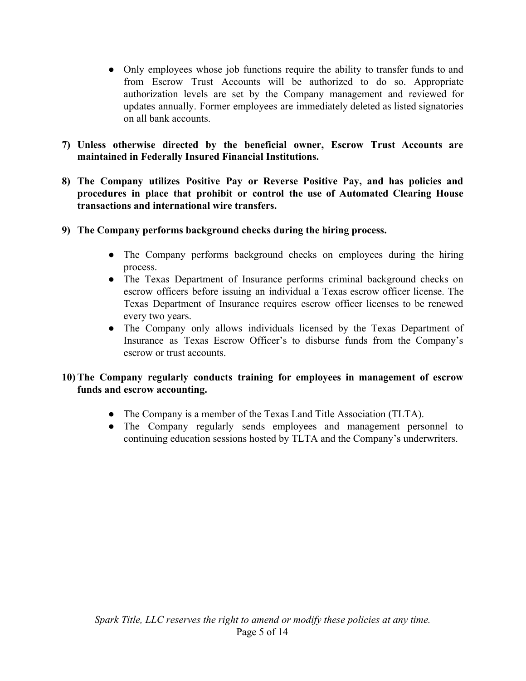- Only employees whose job functions require the ability to transfer funds to and from Escrow Trust Accounts will be authorized to do so. Appropriate authorization levels are set by the Company management and reviewed for updates annually. Former employees are immediately deleted as listed signatories on all bank accounts.
- **7) Unless otherwise directed by the beneficial owner, Escrow Trust Accounts are maintained in Federally Insured Financial Institutions.**
- **8) The Company utilizes Positive Pay or Reverse Positive Pay, and has policies and procedures in place that prohibit or control the use of Automated Clearing House transactions and international wire transfers.**
- **9) The Company performs background checks during the hiring process.**
	- The Company performs background checks on employees during the hiring process.
	- The Texas Department of Insurance performs criminal background checks on escrow officers before issuing an individual a Texas escrow officer license. The Texas Department of Insurance requires escrow officer licenses to be renewed every two years.
	- **●** The Company only allows individuals licensed by the Texas Department of Insurance as Texas Escrow Officer's to disburse funds from the Company's escrow or trust accounts.

### **10) The Company regularly conducts training for employees in management of escrow funds and escrow accounting.**

- The Company is a member of the Texas Land Title Association (TLTA).
- **●** The Company regularly sends employees and management personnel to continuing education sessions hosted by TLTA and the Company's underwriters.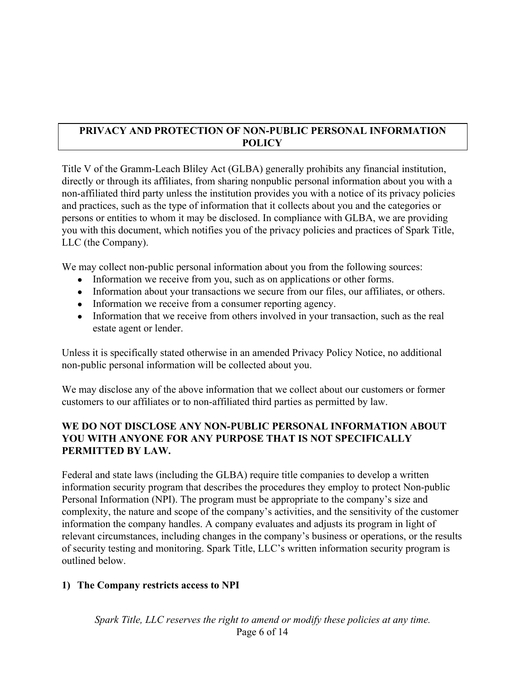## **PRIVACY AND PROTECTION OF NON-PUBLIC PERSONAL INFORMATION POLICY**

Title V of the Gramm-Leach Bliley Act (GLBA) generally prohibits any financial institution, directly or through its affiliates, from sharing nonpublic personal information about you with a non-affiliated third party unless the institution provides you with a notice of its privacy policies and practices, such as the type of information that it collects about you and the categories or persons or entities to whom it may be disclosed. In compliance with GLBA, we are providing you with this document, which notifies you of the privacy policies and practices of Spark Title, LLC (the Company).

We may collect non-public personal information about you from the following sources:

- Information we receive from you, such as on applications or other forms.
- Information about your transactions we secure from our files, our affiliates, or others.
- Information we receive from a consumer reporting agency.
- Information that we receive from others involved in your transaction, such as the real estate agent or lender.

Unless it is specifically stated otherwise in an amended Privacy Policy Notice, no additional non-public personal information will be collected about you.

We may disclose any of the above information that we collect about our customers or former customers to our affiliates or to non-affiliated third parties as permitted by law.

### **WE DO NOT DISCLOSE ANY NON-PUBLIC PERSONAL INFORMATION ABOUT YOU WITH ANYONE FOR ANY PURPOSE THAT IS NOT SPECIFICALLY PERMITTED BY LAW.**

Federal and state laws (including the GLBA) require title companies to develop a written information security program that describes the procedures they employ to protect Non-public Personal Information (NPI). The program must be appropriate to the company's size and complexity, the nature and scope of the company's activities, and the sensitivity of the customer information the company handles. A company evaluates and adjusts its program in light of relevant circumstances, including changes in the company's business or operations, or the results of security testing and monitoring. Spark Title, LLC's written information security program is outlined below.

#### **1) The Company restricts access to NPI**

*Spark Title, LLC reserves the right to amend or modify these policies at any time.* Page 6 of 14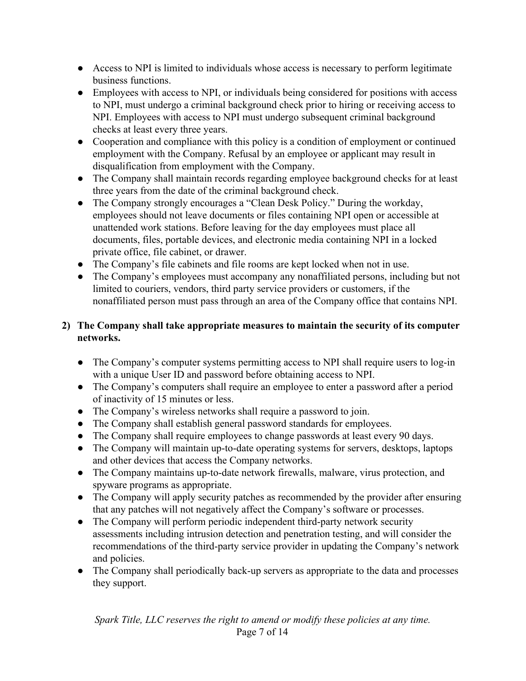- Access to NPI is limited to individuals whose access is necessary to perform legitimate business functions.
- Employees with access to NPI, or individuals being considered for positions with access to NPI, must undergo a criminal background check prior to hiring or receiving access to NPI. Employees with access to NPI must undergo subsequent criminal background checks at least every three years.
- Cooperation and compliance with this policy is a condition of employment or continued employment with the Company. Refusal by an employee or applicant may result in disqualification from employment with the Company.
- The Company shall maintain records regarding employee background checks for at least three years from the date of the criminal background check.
- The Company strongly encourages a "Clean Desk Policy." During the workday, employees should not leave documents or files containing NPI open or accessible at unattended work stations. Before leaving for the day employees must place all documents, files, portable devices, and electronic media containing NPI in a locked private office, file cabinet, or drawer.
- The Company's file cabinets and file rooms are kept locked when not in use.
- The Company's employees must accompany any nonaffiliated persons, including but not limited to couriers, vendors, third party service providers or customers, if the nonaffiliated person must pass through an area of the Company office that contains NPI.

## **2) The Company shall take appropriate measures to maintain the security of its computer networks.**

- The Company's computer systems permitting access to NPI shall require users to log-in with a unique User ID and password before obtaining access to NPI.
- The Company's computers shall require an employee to enter a password after a period of inactivity of 15 minutes or less.
- The Company's wireless networks shall require a password to join.
- The Company shall establish general password standards for employees.
- The Company shall require employees to change passwords at least every 90 days.
- The Company will maintain up-to-date operating systems for servers, desktops, laptops and other devices that access the Company networks.
- The Company maintains up-to-date network firewalls, malware, virus protection, and spyware programs as appropriate.
- The Company will apply security patches as recommended by the provider after ensuring that any patches will not negatively affect the Company's software or processes.
- The Company will perform periodic independent third-party network security assessments including intrusion detection and penetration testing, and will consider the recommendations of the third-party service provider in updating the Company's network and policies.
- The Company shall periodically back-up servers as appropriate to the data and processes they support.

*Spark Title, LLC reserves the right to amend or modify these policies at any time.* Page 7 of 14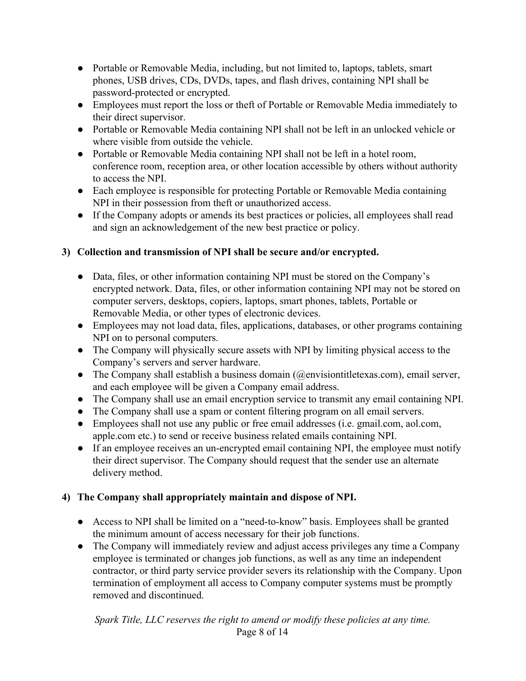- Portable or Removable Media, including, but not limited to, laptops, tablets, smart phones, USB drives, CDs, DVDs, tapes, and flash drives, containing NPI shall be password-protected or encrypted.
- Employees must report the loss or theft of Portable or Removable Media immediately to their direct supervisor.
- Portable or Removable Media containing NPI shall not be left in an unlocked vehicle or where visible from outside the vehicle.
- Portable or Removable Media containing NPI shall not be left in a hotel room, conference room, reception area, or other location accessible by others without authority to access the NPI.
- Each employee is responsible for protecting Portable or Removable Media containing NPI in their possession from theft or unauthorized access.
- If the Company adopts or amends its best practices or policies, all employees shall read and sign an acknowledgement of the new best practice or policy.

## **3) Collection and transmission of NPI shall be secure and/or encrypted.**

- Data, files, or other information containing NPI must be stored on the Company's encrypted network. Data, files, or other information containing NPI may not be stored on computer servers, desktops, copiers, laptops, smart phones, tablets, Portable or Removable Media, or other types of electronic devices.
- Employees may not load data, files, applications, databases, or other programs containing NPI on to personal computers.
- The Company will physically secure assets with NPI by limiting physical access to the Company's servers and server hardware.
- The Company shall establish a business domain  $(Q_{\text{env}})$  is extended. The Company shall server, and each employee will be given a Company email address.
- The Company shall use an email encryption service to transmit any email containing NPI.
- The Company shall use a spam or content filtering program on all email servers.
- Employees shall not use any public or free email addresses (i.e. gmail.com, aol.com, apple.com etc.) to send or receive business related emails containing NPI.
- If an employee receives an un-encrypted email containing NPI, the employee must notify their direct supervisor. The Company should request that the sender use an alternate delivery method.

## **4) The Company shall appropriately maintain and dispose of NPI.**

- Access to NPI shall be limited on a "need-to-know" basis. Employees shall be granted the minimum amount of access necessary for their job functions.
- The Company will immediately review and adjust access privileges any time a Company employee is terminated or changes job functions, as well as any time an independent contractor, or third party service provider severs its relationship with the Company. Upon termination of employment all access to Company computer systems must be promptly removed and discontinued.

*Spark Title, LLC reserves the right to amend or modify these policies at any time.* Page 8 of 14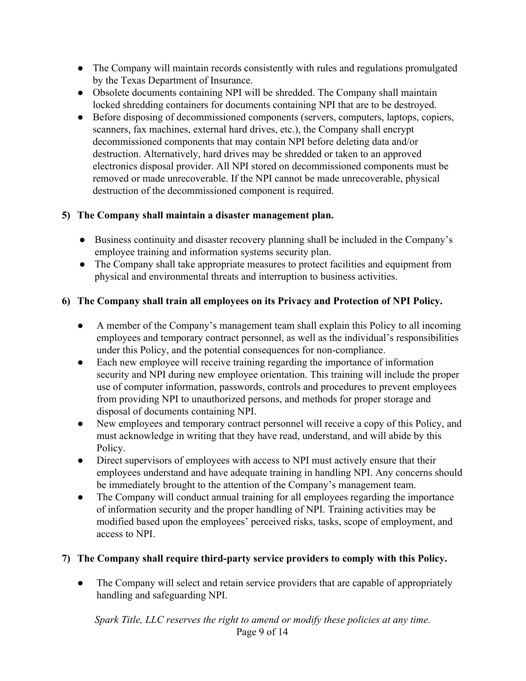- The Company will maintain records consistently with rules and regulations promulgated by the Texas Department of Insurance.
- Obsolete documents containing NPI will be shredded. The Company shall maintain locked shredding containers for documents containing NPI that are to be destroyed.
- Before disposing of decommissioned components (servers, computers, laptops, copiers, scanners, fax machines, external hard drives, etc.), the Company shall encrypt decommissioned components that may contain NPI before deleting data and/or destruction. Alternatively, hard drives may be shredded or taken to an approved electronics disposal provider. All NPI stored on decommissioned components must be removed or made unrecoverable. If the NPI cannot be made unrecoverable, physical destruction of the decommissioned component is required.

# **5) The Company shall maintain a disaster management plan.**

- Business continuity and disaster recovery planning shall be included in the Company's employee training and information systems security plan.
- The Company shall take appropriate measures to protect facilities and equipment from physical and environmental threats and interruption to business activities.

# **6) The Company shall train all employees on its Privacy and Protection of NPI Policy.**

- A member of the Company's management team shall explain this Policy to all incoming employees and temporary contract personnel, as well as the individual's responsibilities under this Policy, and the potential consequences for non-compliance.
- Each new employee will receive training regarding the importance of information security and NPI during new employee orientation. This training will include the proper use of computer information, passwords, controls and procedures to prevent employees from providing NPI to unauthorized persons, and methods for proper storage and disposal of documents containing NPI.
- New employees and temporary contract personnel will receive a copy of this Policy, and must acknowledge in writing that they have read, understand, and will abide by this Policy.
- Direct supervisors of employees with access to NPI must actively ensure that their employees understand and have adequate training in handling NPI. Any concerns should be immediately brought to the attention of the Company's management team.
- The Company will conduct annual training for all employees regarding the importance of information security and the proper handling of NPI. Training activities may be modified based upon the employees' perceived risks, tasks, scope of employment, and access to NPI.

## **7) The Company shall require third-party service providers to comply with this Policy.**

• The Company will select and retain service providers that are capable of appropriately handling and safeguarding NPI.

*Spark Title, LLC reserves the right to amend or modify these policies at any time.* Page 9 of 14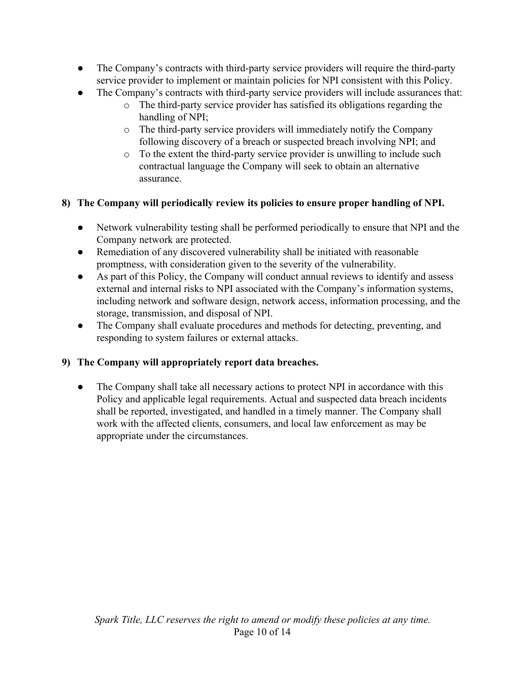- The Company's contracts with third-party service providers will require the third-party service provider to implement or maintain policies for NPI consistent with this Policy.
- The Company's contracts with third-party service providers will include assurances that:
	- o The third-party service provider has satisfied its obligations regarding the handling of NPI;
	- o The third-party service providers will immediately notify the Company following discovery of a breach or suspected breach involving NPI; and
	- o To the extent the third-party service provider is unwilling to include such contractual language the Company will seek to obtain an alternative assurance.

## **8) The Company will periodically review its policies to ensure proper handling of NPI.**

- Network vulnerability testing shall be performed periodically to ensure that NPI and the Company network are protected.
- Remediation of any discovered vulnerability shall be initiated with reasonable promptness, with consideration given to the severity of the vulnerability.
- As part of this Policy, the Company will conduct annual reviews to identify and assess external and internal risks to NPI associated with the Company's information systems, including network and software design, network access, information processing, and the storage, transmission, and disposal of NPI.
- The Company shall evaluate procedures and methods for detecting, preventing, and responding to system failures or external attacks.

## **9) The Company will appropriately report data breaches.**

• The Company shall take all necessary actions to protect NPI in accordance with this Policy and applicable legal requirements. Actual and suspected data breach incidents shall be reported, investigated, and handled in a timely manner. The Company shall work with the affected clients, consumers, and local law enforcement as may be appropriate under the circumstances.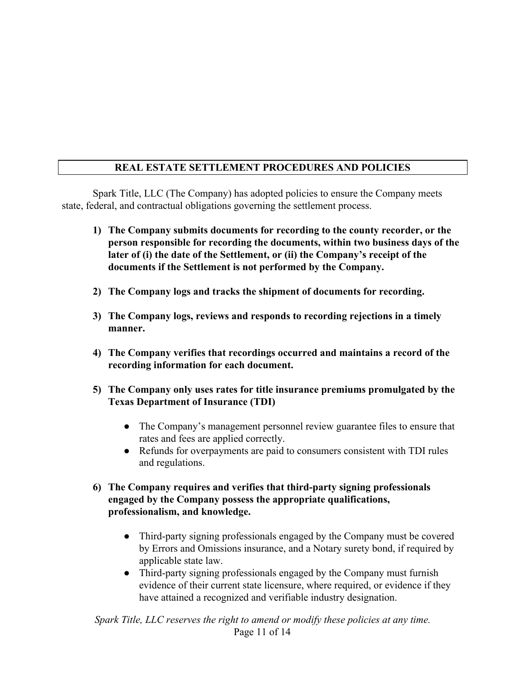## **REAL ESTATE SETTLEMENT PROCEDURES AND POLICIES**

Spark Title, LLC (The Company) has adopted policies to ensure the Company meets state, federal, and contractual obligations governing the settlement process.

- **1) The Company submits documents for recording to the county recorder, or the person responsible for recording the documents, within two business days of the later of (i) the date of the Settlement, or (ii) the Company's receipt of the documents if the Settlement is not performed by the Company.**
- **2) The Company logs and tracks the shipment of documents for recording.**
- **3) The Company logs, reviews and responds to recording rejections in a timely manner.**
- **4) The Company verifies that recordings occurred and maintains a record of the recording information for each document.**
- **5) The Company only uses rates for title insurance premiums promulgated by the Texas Department of Insurance (TDI)**
	- The Company's management personnel review guarantee files to ensure that rates and fees are applied correctly.
	- Refunds for overpayments are paid to consumers consistent with TDI rules and regulations.
- **6) The Company requires and verifies that third-party signing professionals engaged by the Company possess the appropriate qualifications, professionalism, and knowledge.**
	- Third-party signing professionals engaged by the Company must be covered by Errors and Omissions insurance, and a Notary surety bond, if required by applicable state law.
	- Third-party signing professionals engaged by the Company must furnish evidence of their current state licensure, where required, or evidence if they have attained a recognized and verifiable industry designation.

*Spark Title, LLC reserves the right to amend or modify these policies at any time.* Page 11 of 14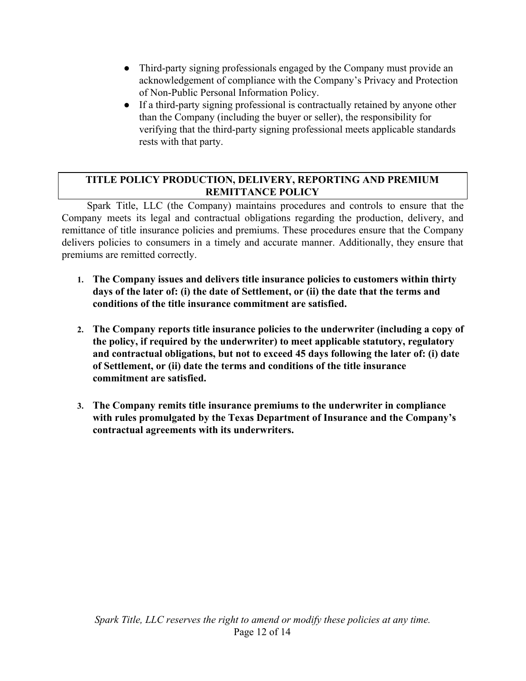- Third-party signing professionals engaged by the Company must provide an acknowledgement of compliance with the Company's Privacy and Protection of Non-Public Personal Information Policy.
- If a third-party signing professional is contractually retained by anyone other than the Company (including the buyer or seller), the responsibility for verifying that the third-party signing professional meets applicable standards rests with that party.

## **TITLE POLICY PRODUCTION, DELIVERY, REPORTING AND PREMIUM REMITTANCE POLICY**

Spark Title, LLC (the Company) maintains procedures and controls to ensure that the Company meets its legal and contractual obligations regarding the production, delivery, and remittance of title insurance policies and premiums. These procedures ensure that the Company delivers policies to consumers in a timely and accurate manner. Additionally, they ensure that premiums are remitted correctly.

- **1. The Company issues and delivers title insurance policies to customers within thirty days of the later of: (i) the date of Settlement, or (ii) the date that the terms and conditions of the title insurance commitment are satisfied.**
- **2. The Company reports title insurance policies to the underwriter (including a copy of the policy, if required by the underwriter) to meet applicable statutory, regulatory and contractual obligations, but not to exceed 45 days following the later of: (i) date of Settlement, or (ii) date the terms and conditions of the title insurance commitment are satisfied.**
- **3. The Company remits title insurance premiums to the underwriter in compliance with rules promulgated by the Texas Department of Insurance and the Company's contractual agreements with its underwriters.**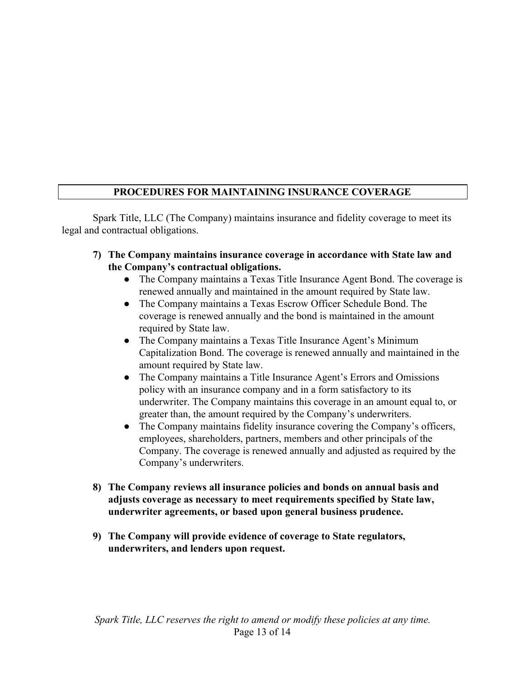# **PROCEDURES FOR MAINTAINING INSURANCE COVERAGE**

Spark Title, LLC (The Company) maintains insurance and fidelity coverage to meet its legal and contractual obligations.

- **7) The Company maintains insurance coverage in accordance with State law and the Company's contractual obligations.**
	- The Company maintains a Texas Title Insurance Agent Bond. The coverage is renewed annually and maintained in the amount required by State law.
	- **●** The Company maintains a Texas Escrow Officer Schedule Bond. The coverage is renewed annually and the bond is maintained in the amount required by State law.
	- **●** The Company maintains a Texas Title Insurance Agent's Minimum Capitalization Bond. The coverage is renewed annually and maintained in the amount required by State law.
	- **●** The Company maintains a Title Insurance Agent's Errors and Omissions policy with an insurance company and in a form satisfactory to its underwriter. The Company maintains this coverage in an amount equal to, or greater than, the amount required by the Company's underwriters.
	- **●** The Company maintains fidelity insurance covering the Company's officers, employees, shareholders, partners, members and other principals of the Company. The coverage is renewed annually and adjusted as required by the Company's underwriters.
- **8) The Company reviews all insurance policies and bonds on annual basis and adjusts coverage as necessary to meet requirements specified by State law, underwriter agreements, or based upon general business prudence.**
- **9) The Company will provide evidence of coverage to State regulators, underwriters, and lenders upon request.**